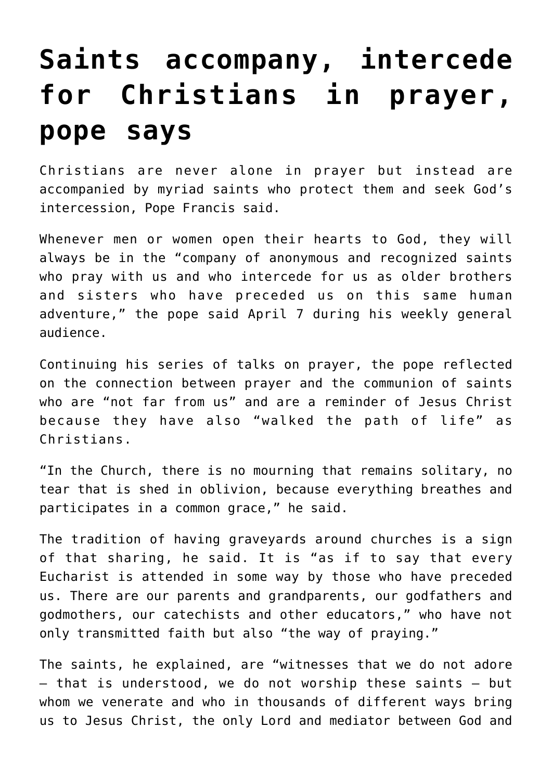## **[Saints accompany, intercede](https://www.osvnews.com/2021/04/07/saints-accompany-intercede-for-christians-in-prayer-pope-says/) [for Christians in prayer,](https://www.osvnews.com/2021/04/07/saints-accompany-intercede-for-christians-in-prayer-pope-says/) [pope says](https://www.osvnews.com/2021/04/07/saints-accompany-intercede-for-christians-in-prayer-pope-says/)**

Christians are never alone in prayer but instead are accompanied by myriad saints who protect them and seek God's intercession, Pope Francis said.

Whenever men or women open their hearts to God, they will always be in the "company of anonymous and recognized saints who pray with us and who intercede for us as older brothers and sisters who have preceded us on this same human adventure," the pope said April 7 during his weekly general audience.

Continuing his series of talks on prayer, the pope reflected on the connection between prayer and the communion of saints who are "not far from us" and are a reminder of Jesus Christ because they have also "walked the path of life" as Christians.

"In the Church, there is no mourning that remains solitary, no tear that is shed in oblivion, because everything breathes and participates in a common grace," he said.

The tradition of having graveyards around churches is a sign of that sharing, he said. It is "as if to say that every Eucharist is attended in some way by those who have preceded us. There are our parents and grandparents, our godfathers and godmothers, our catechists and other educators," who have not only transmitted faith but also "the way of praying."

The saints, he explained, are "witnesses that we do not adore — that is understood, we do not worship these saints — but whom we venerate and who in thousands of different ways bring us to Jesus Christ, the only Lord and mediator between God and